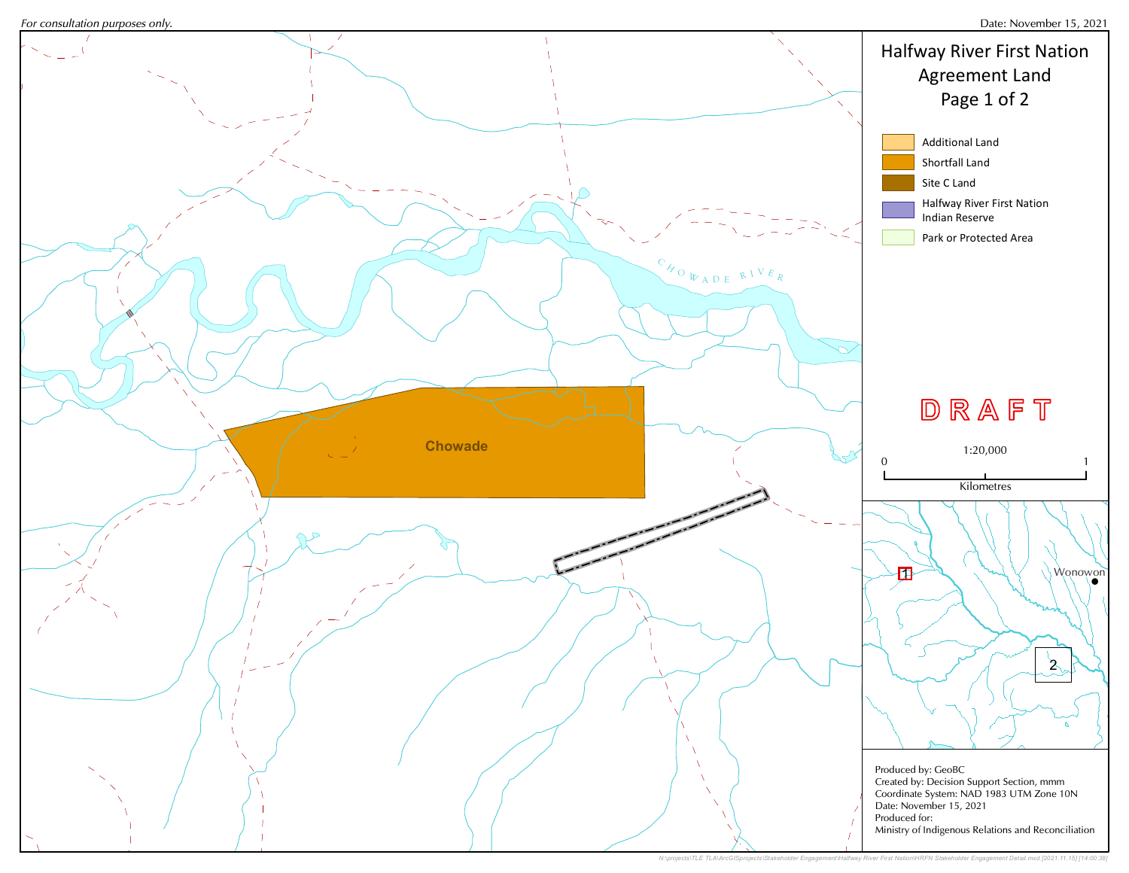